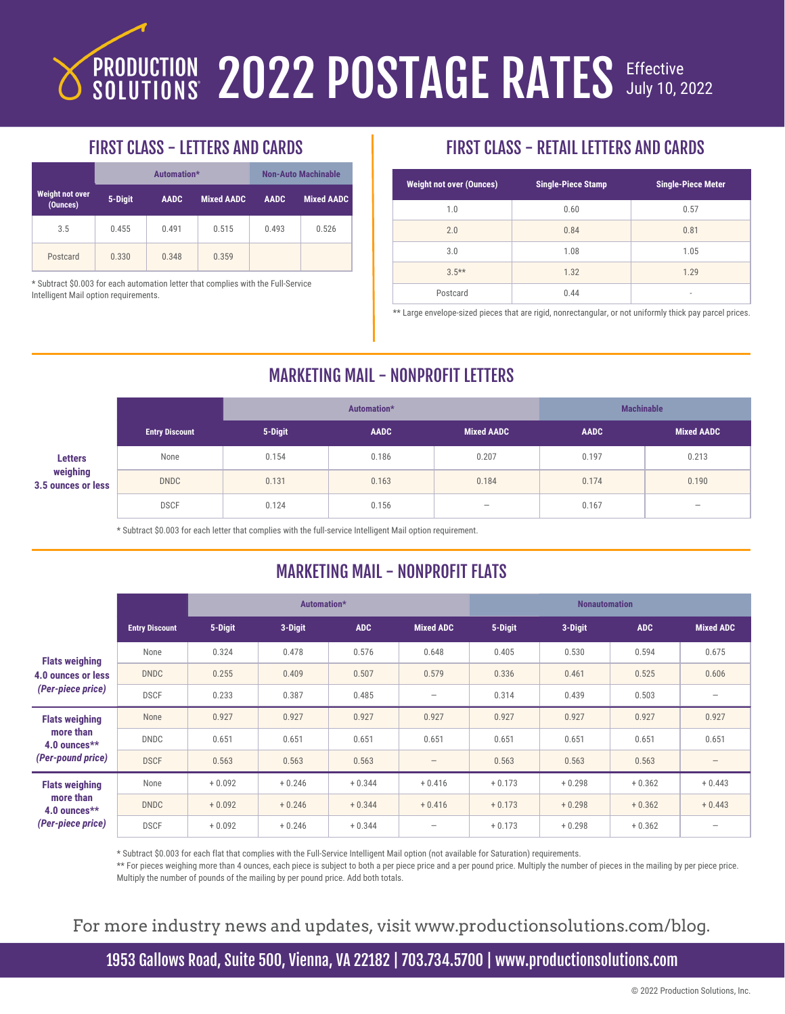**2022 POSTAGE RATES** *Sully 10, 2* July 10, 2022

|                                    | Automation* |             |                   |             | <b>Non-Auto Machinable</b> |
|------------------------------------|-------------|-------------|-------------------|-------------|----------------------------|
| <b>Weight not over</b><br>(Ounces) | 5-Digit     | <b>AADC</b> | <b>Mixed AADC</b> | <b>AADC</b> | <b>Mixed AADC</b>          |
| 3.5                                | 0.455       | 0.491       | 0.515             | 0.493       | 0.526                      |
| Postcard                           | 0.330       | 0.348       | 0.359             |             |                            |

\* Subtract \$0.003 for each automation letter that complies with the Full-Service Intelligent Mail option requirements.

## FIRST CLASS - LETTERS AND CARDS FIRST CLASS - RETAIL LETTERS AND CARDS

| <b>Weight not over (Ounces)</b> | <b>Single-Piece Stamp</b> | <b>Single-Piece Meter</b> |
|---------------------------------|---------------------------|---------------------------|
| 1.0                             | 0.60                      | 0.57                      |
| 2.0                             | 0.84                      | 0.81                      |
| 3.0                             | 1.08                      | 1.05                      |
| $3.5***$                        | 1.32                      | 1.29                      |
| Postcard                        | 0.44                      | ٠                         |

\*\* Large envelope-sized pieces that are rigid, nonrectangular, or not uniformly thick pay parcel prices.

### MARKETING MAIL - NONPROFIT LETTERS

|                                |                       | Automation* |             |                          | <b>Machinable</b> |                                 |  |
|--------------------------------|-----------------------|-------------|-------------|--------------------------|-------------------|---------------------------------|--|
|                                | <b>Entry Discount</b> | 5-Digit     | <b>AADC</b> | <b>Mixed AADC</b>        | <b>AADC</b>       | <b>Mixed AADC</b>               |  |
| <b>Letters</b>                 | None                  | 0.154       | 0.186       | 0.207                    | 0.197             | 0.213                           |  |
| weighing<br>3.5 ounces or less | <b>DNDC</b>           | 0.131       | 0.163       | 0.184                    | 0.174             | 0.190                           |  |
|                                | <b>DSCF</b>           | 0.124       | 0.156       | $\overline{\phantom{m}}$ | 0.167             | $\hspace{0.1mm}-\hspace{0.1mm}$ |  |

\* Subtract \$0.003 for each letter that complies with the full-service Intelligent Mail option requirement.

# MARKETING MAIL - NONPROFIT FLATS

|                              |                       |          | Automation* |            |                          |          | <b>Nonautomation</b> |            |                          |
|------------------------------|-----------------------|----------|-------------|------------|--------------------------|----------|----------------------|------------|--------------------------|
|                              | <b>Entry Discount</b> | 5-Digit  | 3-Digit     | <b>ADC</b> | <b>Mixed ADC</b>         | 5-Digit  | 3-Digit              | <b>ADC</b> | <b>Mixed ADC</b>         |
| <b>Flats weighing</b>        | None                  | 0.324    | 0.478       | 0.576      | 0.648                    | 0.405    | 0.530                | 0.594      | 0.675                    |
| 4.0 ounces or less           | <b>DNDC</b>           | 0.255    | 0.409       | 0.507      | 0.579                    | 0.336    | 0.461                | 0.525      | 0.606                    |
| (Per-piece price)            | <b>DSCF</b>           | 0.233    | 0.387       | 0.485      |                          | 0.314    | 0.439                | 0.503      |                          |
| <b>Flats weighing</b>        | None                  | 0.927    | 0.927       | 0.927      | 0.927                    | 0.927    | 0.927                | 0.927      | 0.927                    |
| more than<br>4.0 ounces $**$ | <b>DNDC</b>           | 0.651    | 0.651       | 0.651      | 0.651                    | 0.651    | 0.651                | 0.651      | 0.651                    |
| (Per-pound price)            | <b>DSCF</b>           | 0.563    | 0.563       | 0.563      | $\qquad \qquad -$        | 0.563    | 0.563                | 0.563      | $\overline{\phantom{m}}$ |
| <b>Flats weighing</b>        | None                  | $+0.092$ | $+0.246$    | $+0.344$   | $+0.416$                 | $+0.173$ | $+0.298$             | $+0.362$   | $+0.443$                 |
| more than<br>4.0 ounces $**$ | <b>DNDC</b>           | $+0.092$ | $+0.246$    | $+0.344$   | $+0.416$                 | $+0.173$ | $+0.298$             | $+0.362$   | $+0.443$                 |
| (Per-piece price)            | <b>DSCF</b>           | $+0.092$ | $+0.246$    | $+0.344$   | $\overline{\phantom{0}}$ | $+0.173$ | $+0.298$             | $+0.362$   |                          |
|                              |                       |          |             |            |                          |          |                      |            |                          |

\* Subtract \$0.003 for each flat that complies with the Full-Service Intelligent Mail option (not available for Saturation) requirements.

\*\* For pieces weighing more than 4 ounces, each piece is subject to both a per piece price and a per pound price. Multiply the number of pieces in the mailing by per piece price. Multiply the number of pounds of the mailing by per pound price. Add both totals.

#### For more industry news and updates, visit www.productionsolutions.com/blog.

1953 Gallows Road, Suite 500, Vienna, VA 22182 | 703.734.5700 | www.productionsolutions.com